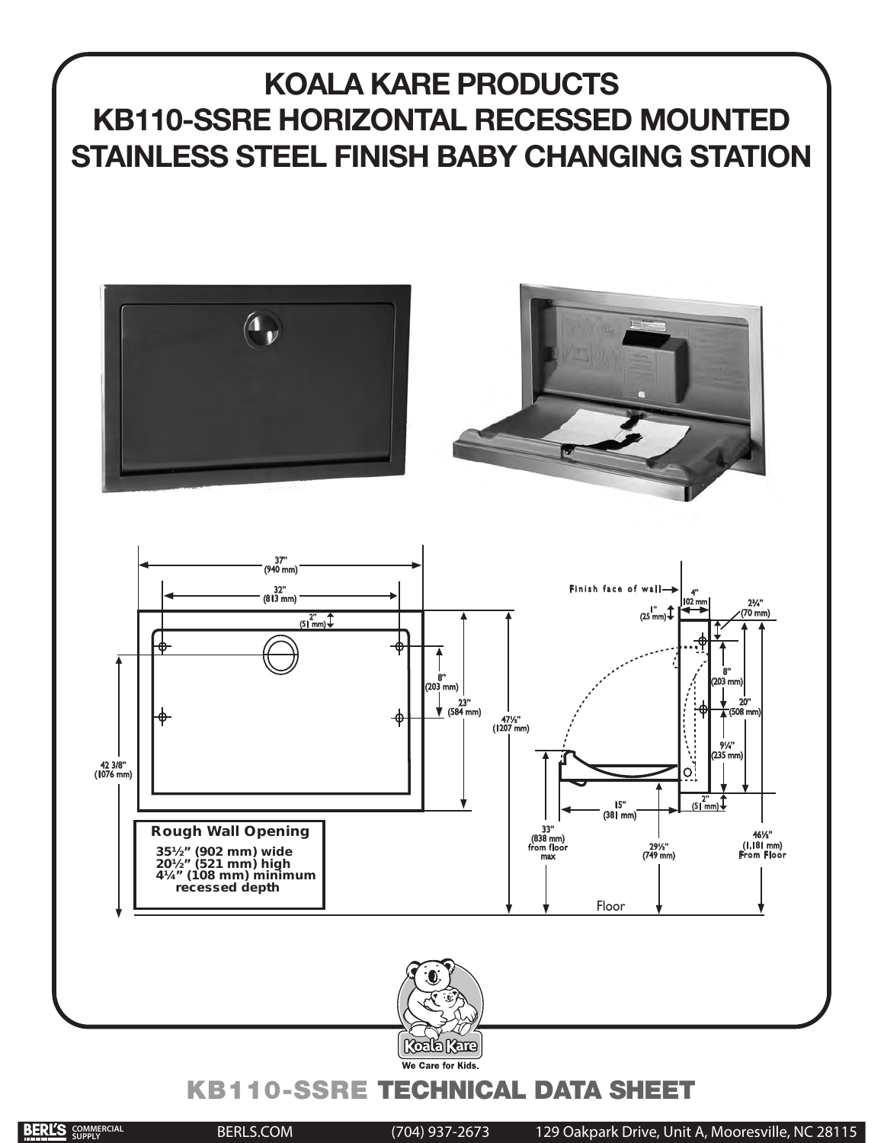# **KOALA KARE PRODUCTS KB110-SSRE HORIZONTAL RECESSED MOUNTED STAINLESS STEEL FINISH BABY CHANGING STATION**









# KB110-SSRE TECHNICAL DATA SHEET

 $\mathcal{A} = \{ \mathcal{A} \mid \mathcal{A} \in \mathcal{A} \}$  . Since  $\mathcal{A} = \{ \mathcal{A} \mid \mathcal{A} \in \mathcal{A} \}$ 

BERLS.COM (704) 937-2673 129 Oakpark Drive, Unit A, Mooresville, NC 28115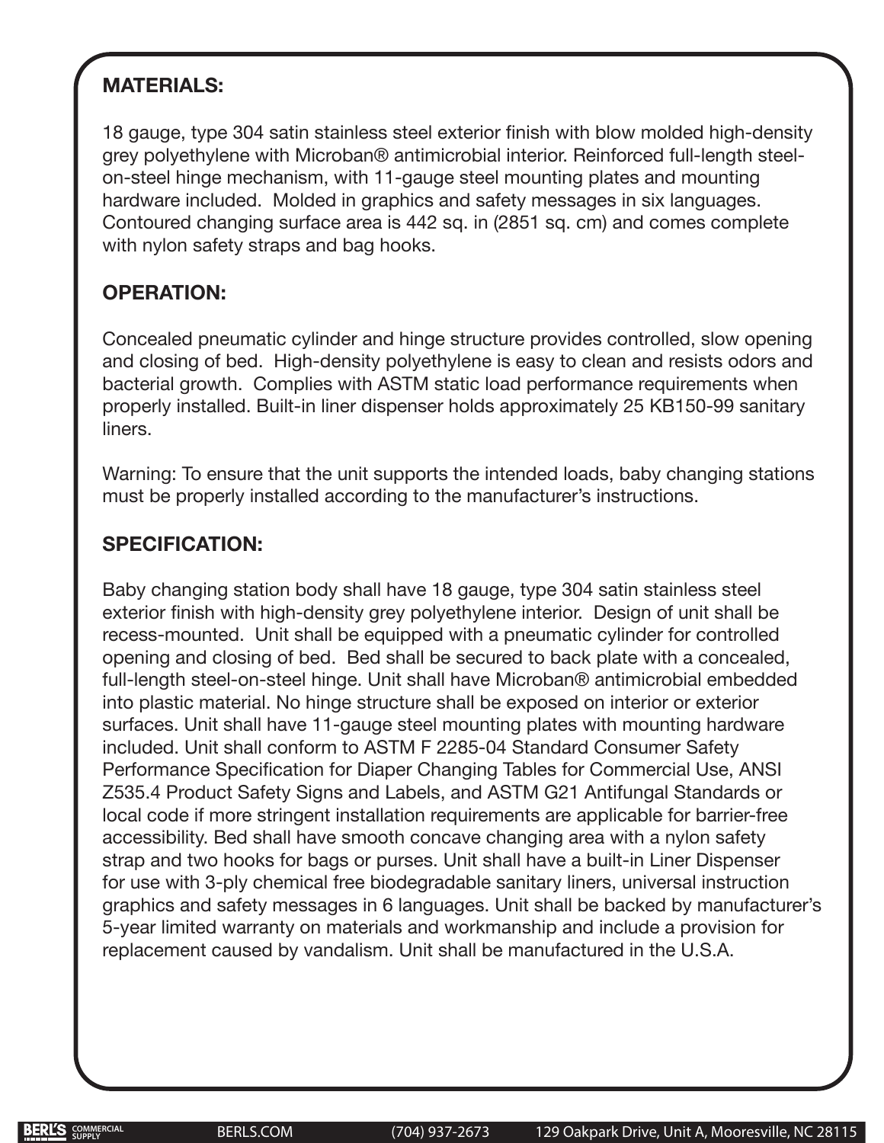## **MATERIALS:**

18 gauge, type 304 satin stainless steel exterior finish with blow molded high-density grey polyethylene with Microban® antimicrobial interior. Reinforced full-length steelon-steel hinge mechanism, with 11-gauge steel mounting plates and mounting hardware included. Molded in graphics and safety messages in six languages. Contoured changing surface area is 442 sq. in (2851 sq. cm) and comes complete with nylon safety straps and bag hooks.

### **OPERATION:**

Concealed pneumatic cylinder and hinge structure provides controlled, slow opening and closing of bed. High-density polyethylene is easy to clean and resists odors and bacterial growth. Complies with ASTM static load performance requirements when properly installed. Built-in liner dispenser holds approximately 25 KB150-99 sanitary liners.

Warning: To ensure that the unit supports the intended loads, baby changing stations must be properly installed according to the manufacturer's instructions.

#### **SPECIFICATION:**

Baby changing station body shall have 18 gauge, type 304 satin stainless steel exterior finish with high-density grey polyethylene interior. Design of unit shall be recess-mounted. Unit shall be equipped with a pneumatic cylinder for controlled opening and closing of bed. Bed shall be secured to back plate with a concealed, full-length steel-on-steel hinge. Unit shall have Microban® antimicrobial embedded into plastic material. No hinge structure shall be exposed on interior or exterior surfaces. Unit shall have 11-gauge steel mounting plates with mounting hardware included. Unit shall conform to ASTM F 2285-04 Standard Consumer Safety Performance Specification for Diaper Changing Tables for Commercial Use, ANSI Z535.4 Product Safety Signs and Labels, and ASTM G21 Antifungal Standards or local code if more stringent installation requirements are applicable for barrier-free accessibility. Bed shall have smooth concave changing area with a nylon safety strap and two hooks for bags or purses. Unit shall have a built-in Liner Dispenser for use with 3-ply chemical free biodegradable sanitary liners, universal instruction graphics and safety messages in 6 languages. Unit shall be backed by manufacturer's 5-year limited warranty on materials and workmanship and include a provision for replacement caused by vandalism. Unit shall be manufactured in the U.S.A.